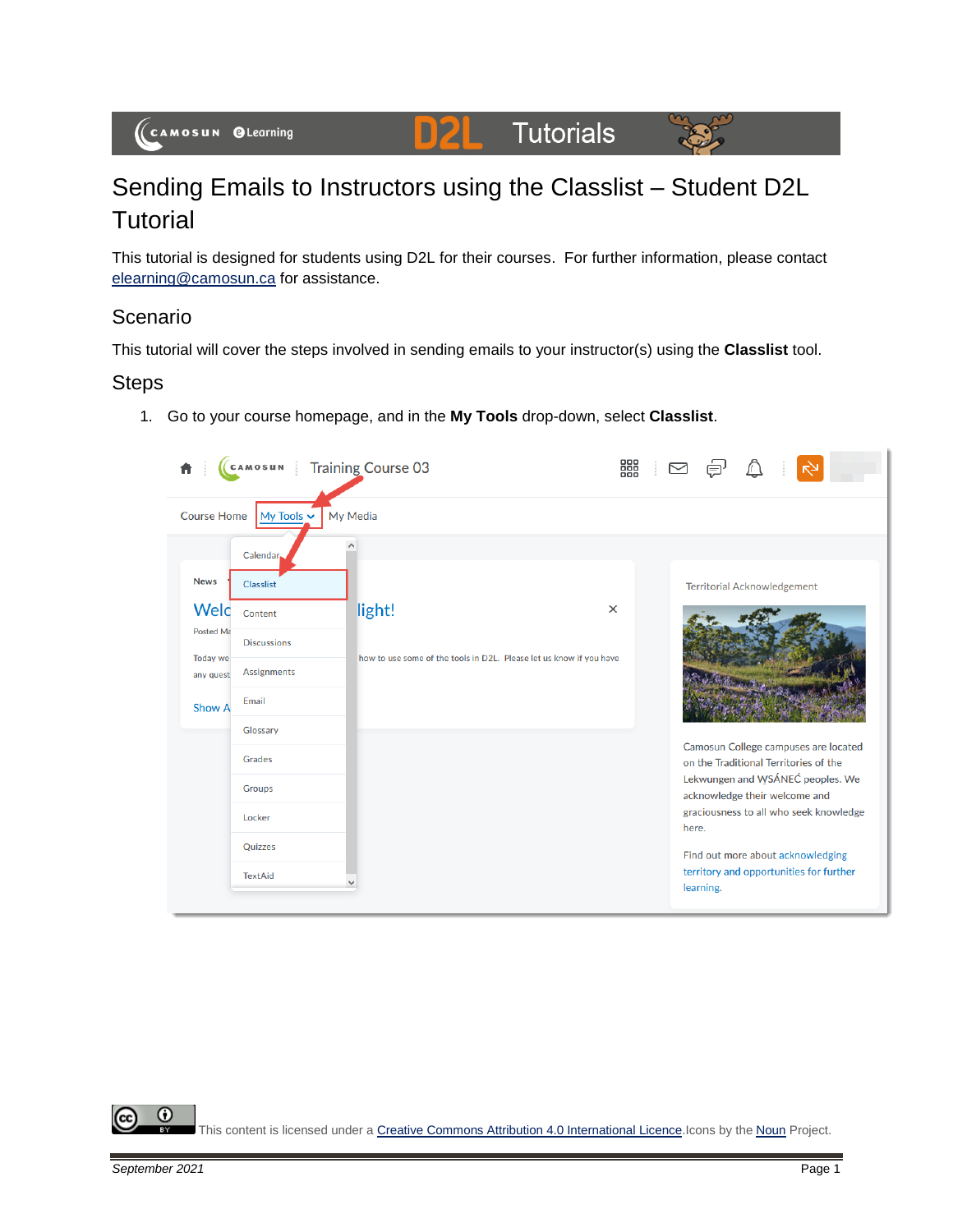#### **Tutorials D2L**



# Sending Emails to Instructors using the Classlist – Student D2L **Tutorial**

This tutorial is designed for students using D2L for their courses. For further information, please contact [elearning@camosun.ca](mailto:elearning@camosun.ca) for assistance.

# Scenario

This tutorial will cover the steps involved in sending emails to your instructor(s) using the **Classlist** tool.

# **Steps**

1. Go to your course homepage, and in the **My Tools** drop-down, select **Classlist**.



0 This content is licensed under [a Creative Commons Attribution 4.0 International Licence.I](https://creativecommons.org/licenses/by/4.0/)cons by the [Noun](https://creativecommons.org/website-icons/) Project.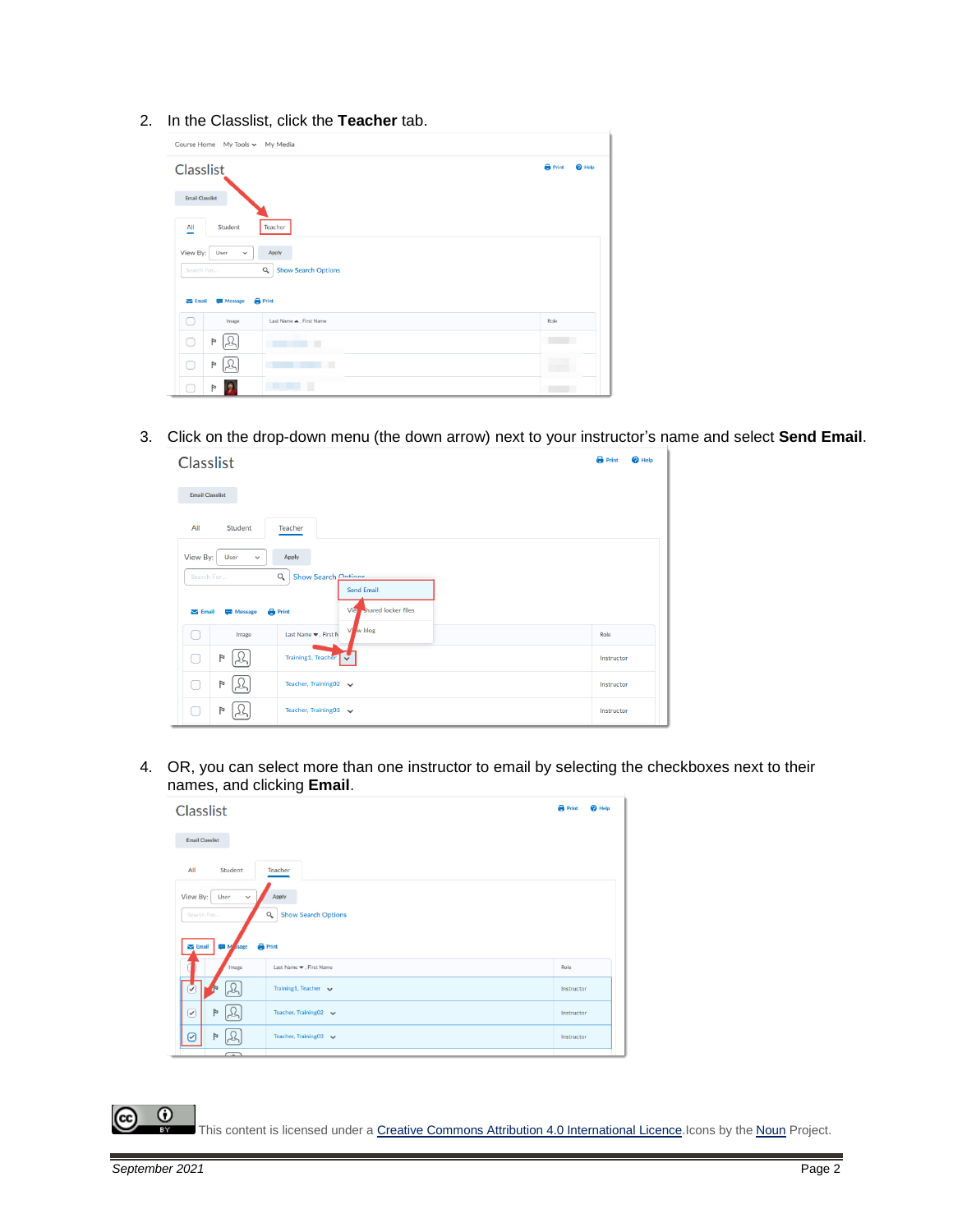2. In the Classlist, click the **Teacher** tab.

| Course Home My Tools ~ My Media                    |                         |                                     |  |  |
|----------------------------------------------------|-------------------------|-------------------------------------|--|--|
| Classlist                                          |                         | <b>B</b> Print<br><sup>O</sup> Help |  |  |
| <b>Email Classlist</b>                             |                         |                                     |  |  |
| All<br>Student<br>-                                | Teacher                 |                                     |  |  |
| View By:<br>Apply<br>User<br>$\checkmark$          |                         |                                     |  |  |
| Q<br><b>Show Search Options</b><br>Search For      |                         |                                     |  |  |
| <b>Print</b><br>$\sum$ Email<br><b>WEI</b> Message |                         |                                     |  |  |
| Image                                              | Last Name A, First Name | Role                                |  |  |
| Þ<br>∩<br>عكما                                     | п                       |                                     |  |  |
| Þ<br>بمكرا<br>∩                                    | т                       |                                     |  |  |
| $\triangleright$                                   |                         |                                     |  |  |

3. Click on the drop-down menu (the down arrow) next to your instructor's name and select **Send Email**.

| Classlist                                                                                                                                                      |                                                          | <b>B</b> Print<br><sup>O</sup> Help |  |
|----------------------------------------------------------------------------------------------------------------------------------------------------------------|----------------------------------------------------------|-------------------------------------|--|
| <b>Email Classlist</b>                                                                                                                                         |                                                          |                                     |  |
| All<br>Student                                                                                                                                                 | <b>Teacher</b>                                           |                                     |  |
| View By:<br>User<br>Apply<br>$\check{~}$                                                                                                                       |                                                          |                                     |  |
| Show Search Ontione<br>$\alpha$<br>Search For<br><b>Send Email</b><br><b>J</b> hared locker files<br>Vie<br><b>Print</b><br>$\sum$ Email<br><b>TEM</b> Message |                                                          |                                     |  |
| Image<br>- 1                                                                                                                                                   | w blog<br>Vi<br>Last Name $\blacktriangledown$ , First N | Role                                |  |
| Þ                                                                                                                                                              | Training1, Teacher                                       | Instructor                          |  |
| Þ<br>n.                                                                                                                                                        | Teacher, Training02 v                                    | Instructor                          |  |
| P                                                                                                                                                              | Teacher, Training03 v                                    | Instructor                          |  |

4. OR, you can select more than one instructor to email by selecting the checkboxes next to their names, and clicking **Email**.



This content is licensed under [a Creative Commons Attribution 4.0 International Licence.I](https://creativecommons.org/licenses/by/4.0/)cons by the [Noun](https://creativecommons.org/website-icons/) Project.

 $\odot$